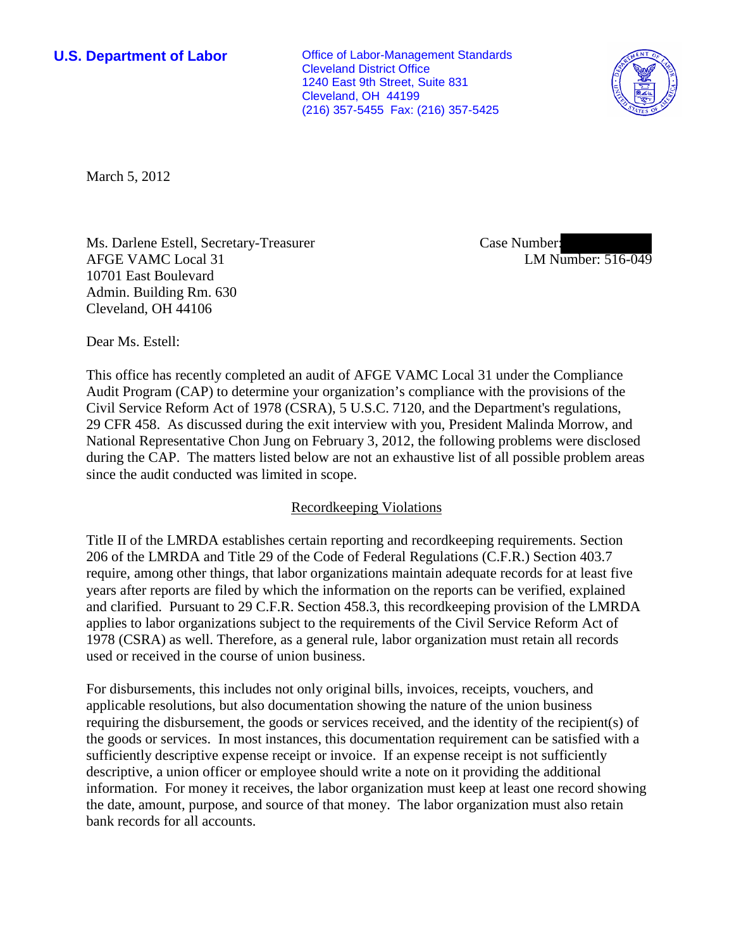**U.S. Department of Labor Conservative Conservative Conservative Conservative Conservative Conservative Conservative Conservative Conservative Conservative Conservative Conservative Conservative Conservative Conservative** Cleveland District Office 1240 East 9th Street, Suite 831 Cleveland, OH 44199 (216) 357-5455 Fax: (216) 357-5425



March 5, 2012

Ms. Darlene Estell, Secretary-Treasurer AFGE VAMC Local 31 10701 East Boulevard Admin. Building Rm. 630 Cleveland, OH 44106

Case Number: LM Number: 516-049

Dear Ms. Estell:

This office has recently completed an audit of AFGE VAMC Local 31 under the Compliance Audit Program (CAP) to determine your organization's compliance with the provisions of the Civil Service Reform Act of 1978 (CSRA), 5 U.S.C. 7120, and the Department's regulations, 29 CFR 458. As discussed during the exit interview with you, President Malinda Morrow, and National Representative Chon Jung on February 3, 2012, the following problems were disclosed during the CAP. The matters listed below are not an exhaustive list of all possible problem areas since the audit conducted was limited in scope.

## Recordkeeping Violations

Title II of the LMRDA establishes certain reporting and recordkeeping requirements. Section 206 of the LMRDA and Title 29 of the Code of Federal Regulations (C.F.R.) Section 403.7 require, among other things, that labor organizations maintain adequate records for at least five years after reports are filed by which the information on the reports can be verified, explained and clarified. Pursuant to 29 C.F.R. Section 458.3, this recordkeeping provision of the LMRDA applies to labor organizations subject to the requirements of the Civil Service Reform Act of 1978 (CSRA) as well. Therefore, as a general rule, labor organization must retain all records used or received in the course of union business.

For disbursements, this includes not only original bills, invoices, receipts, vouchers, and applicable resolutions, but also documentation showing the nature of the union business requiring the disbursement, the goods or services received, and the identity of the recipient(s) of the goods or services. In most instances, this documentation requirement can be satisfied with a sufficiently descriptive expense receipt or invoice. If an expense receipt is not sufficiently descriptive, a union officer or employee should write a note on it providing the additional information. For money it receives, the labor organization must keep at least one record showing the date, amount, purpose, and source of that money. The labor organization must also retain bank records for all accounts.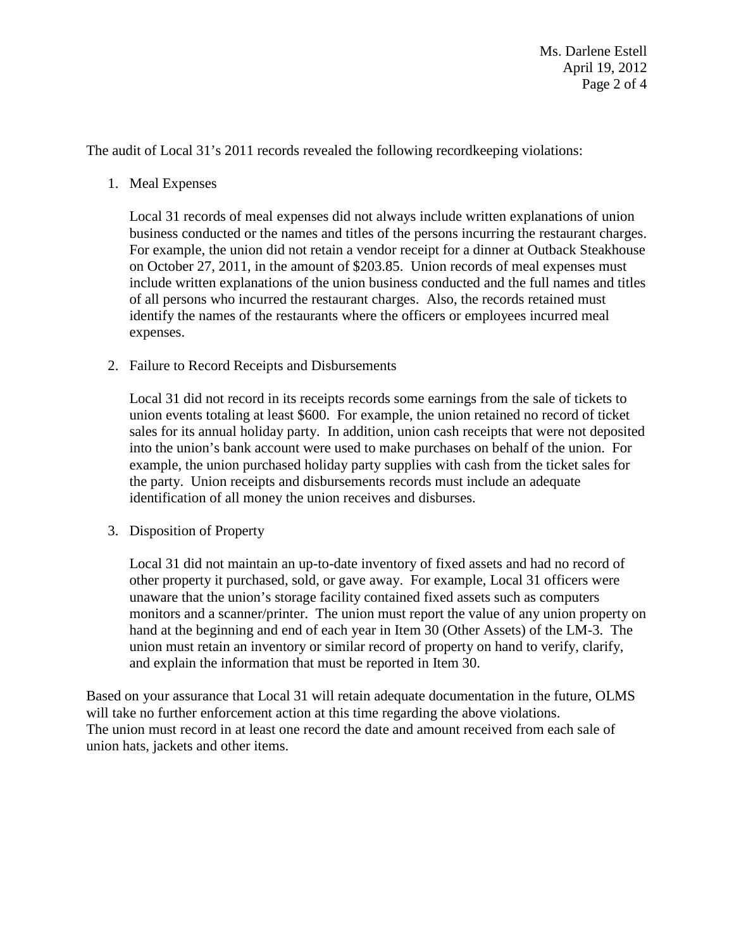The audit of Local 31's 2011 records revealed the following recordkeeping violations:

1. Meal Expenses

Local 31 records of meal expenses did not always include written explanations of union business conducted or the names and titles of the persons incurring the restaurant charges. For example, the union did not retain a vendor receipt for a dinner at Outback Steakhouse on October 27, 2011, in the amount of \$203.85. Union records of meal expenses must include written explanations of the union business conducted and the full names and titles of all persons who incurred the restaurant charges. Also, the records retained must identify the names of the restaurants where the officers or employees incurred meal expenses.

2. Failure to Record Receipts and Disbursements

Local 31 did not record in its receipts records some earnings from the sale of tickets to union events totaling at least \$600. For example, the union retained no record of ticket sales for its annual holiday party. In addition, union cash receipts that were not deposited into the union's bank account were used to make purchases on behalf of the union. For example, the union purchased holiday party supplies with cash from the ticket sales for the party. Union receipts and disbursements records must include an adequate identification of all money the union receives and disburses.

3. Disposition of Property

Local 31 did not maintain an up-to-date inventory of fixed assets and had no record of other property it purchased, sold, or gave away. For example, Local 31 officers were unaware that the union's storage facility contained fixed assets such as computers monitors and a scanner/printer. The union must report the value of any union property on hand at the beginning and end of each year in Item 30 (Other Assets) of the LM-3. The union must retain an inventory or similar record of property on hand to verify, clarify, and explain the information that must be reported in Item 30.

Based on your assurance that Local 31 will retain adequate documentation in the future, OLMS will take no further enforcement action at this time regarding the above violations. The union must record in at least one record the date and amount received from each sale of union hats, jackets and other items.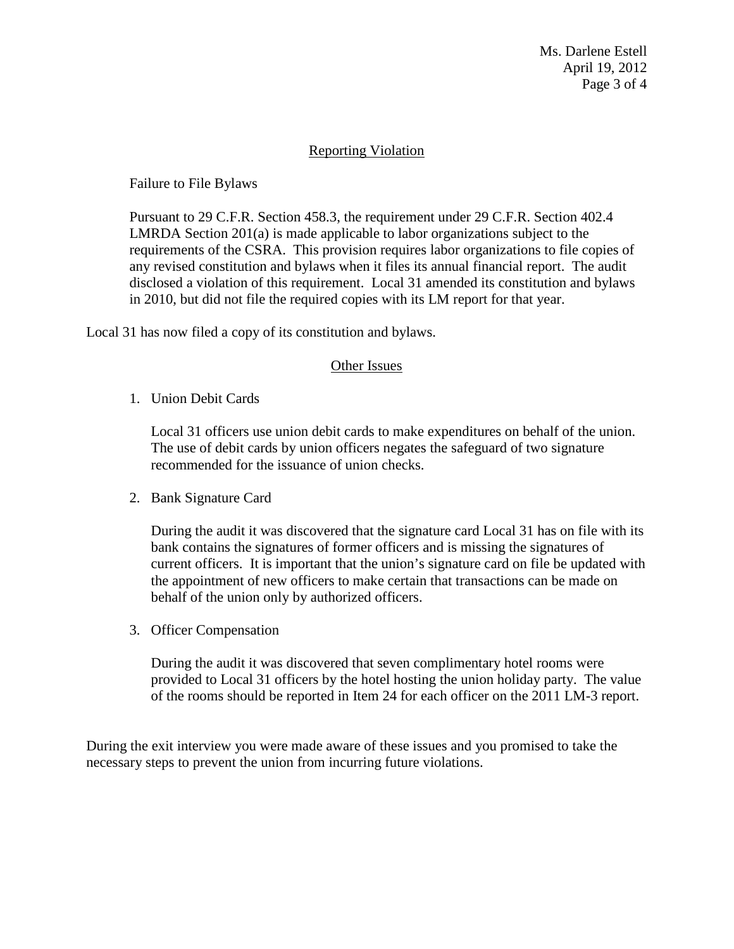Ms. Darlene Estell April 19, 2012 Page 3 of 4

## Reporting Violation

Failure to File Bylaws

Pursuant to 29 C.F.R. Section 458.3, the requirement under 29 C.F.R. Section 402.4 LMRDA Section 201(a) is made applicable to labor organizations subject to the requirements of the CSRA. This provision requires labor organizations to file copies of any revised constitution and bylaws when it files its annual financial report. The audit disclosed a violation of this requirement. Local 31 amended its constitution and bylaws in 2010, but did not file the required copies with its LM report for that year.

Local 31 has now filed a copy of its constitution and bylaws.

## Other Issues

1. Union Debit Cards

Local 31 officers use union debit cards to make expenditures on behalf of the union. The use of debit cards by union officers negates the safeguard of two signature recommended for the issuance of union checks.

2. Bank Signature Card

During the audit it was discovered that the signature card Local 31 has on file with its bank contains the signatures of former officers and is missing the signatures of current officers. It is important that the union's signature card on file be updated with the appointment of new officers to make certain that transactions can be made on behalf of the union only by authorized officers.

3. Officer Compensation

During the audit it was discovered that seven complimentary hotel rooms were provided to Local 31 officers by the hotel hosting the union holiday party. The value of the rooms should be reported in Item 24 for each officer on the 2011 LM-3 report.

During the exit interview you were made aware of these issues and you promised to take the necessary steps to prevent the union from incurring future violations.